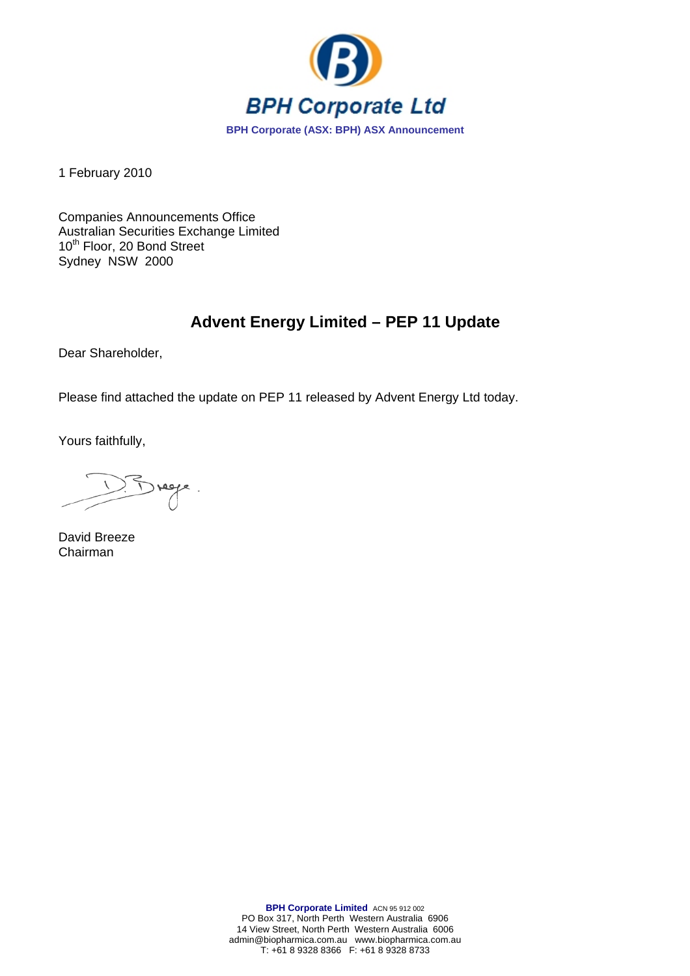

1 February 2010

Companies Announcements Office Australian Securities Exchange Limited 10<sup>th</sup> Floor, 20 Bond Street Sydney NSW 2000

# **Advent Energy Limited – PEP 11 Update**

Dear Shareholder,

Please find attached the update on PEP 11 released by Advent Energy Ltd today.

Yours faithfully,

Brege.

David Breeze Chairman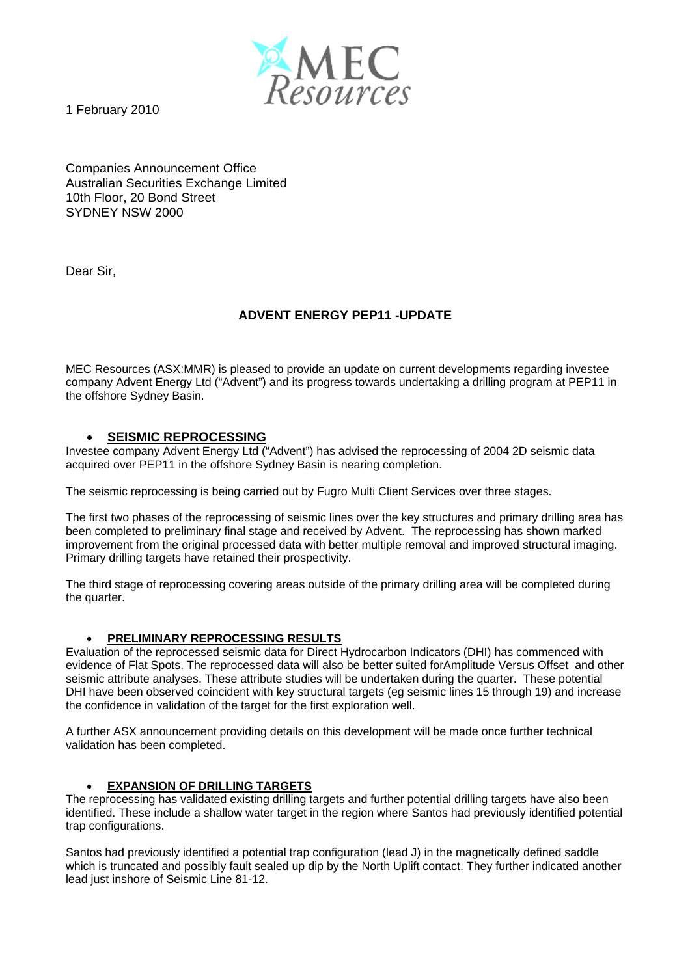

1 February 2010

Companies Announcement Office Australian Securities Exchange Limited 10th Floor, 20 Bond Street SYDNEY NSW 2000

Dear Sir,

## **ADVENT ENERGY PEP11 -UPDATE**

MEC Resources (ASX:MMR) is pleased to provide an update on current developments regarding investee company Advent Energy Ltd ("Advent") and its progress towards undertaking a drilling program at PEP11 in the offshore Sydney Basin.

## • **SEISMIC REPROCESSING**

Investee company Advent Energy Ltd ("Advent") has advised the reprocessing of 2004 2D seismic data acquired over PEP11 in the offshore Sydney Basin is nearing completion.

The seismic reprocessing is being carried out by Fugro Multi Client Services over three stages.

The first two phases of the reprocessing of seismic lines over the key structures and primary drilling area has been completed to preliminary final stage and received by Advent. The reprocessing has shown marked improvement from the original processed data with better multiple removal and improved structural imaging. Primary drilling targets have retained their prospectivity.

The third stage of reprocessing covering areas outside of the primary drilling area will be completed during the quarter.

## • **PRELIMINARY REPROCESSING RESULTS**

Evaluation of the reprocessed seismic data for Direct Hydrocarbon Indicators (DHI) has commenced with evidence of Flat Spots. The reprocessed data will also be better suited forAmplitude Versus Offset and other seismic attribute analyses. These attribute studies will be undertaken during the quarter. These potential DHI have been observed coincident with key structural targets (eg seismic lines 15 through 19) and increase the confidence in validation of the target for the first exploration well.

A further ASX announcement providing details on this development will be made once further technical validation has been completed.

## • **EXPANSION OF DRILLING TARGETS**

The reprocessing has validated existing drilling targets and further potential drilling targets have also been identified. These include a shallow water target in the region where Santos had previously identified potential trap configurations.

Santos had previously identified a potential trap configuration (lead J) in the magnetically defined saddle which is truncated and possibly fault sealed up dip by the North Uplift contact. They further indicated another lead just inshore of Seismic Line 81-12.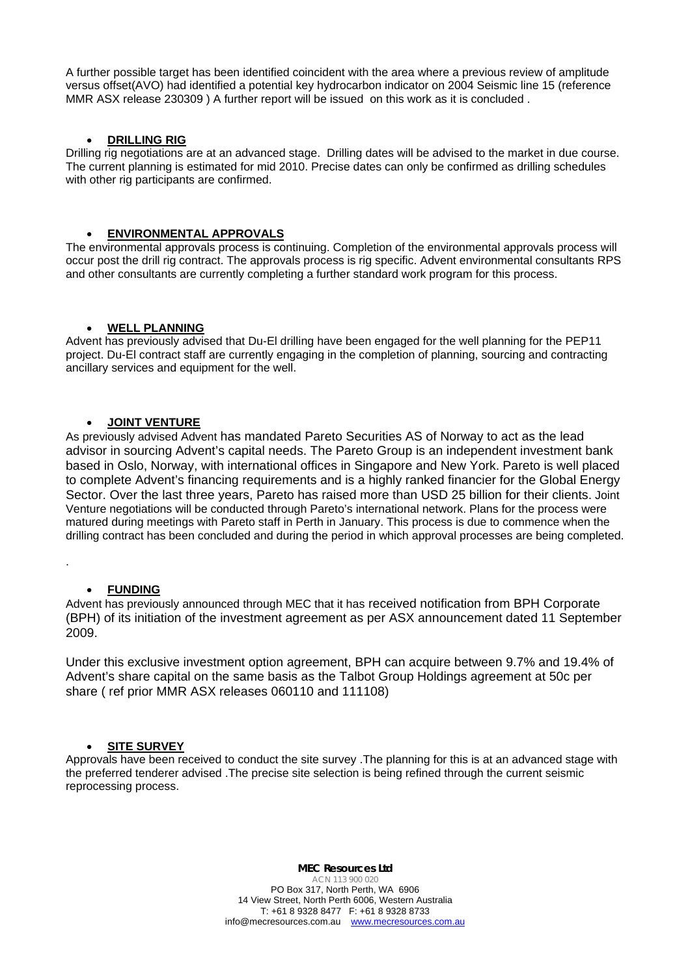A further possible target has been identified coincident with the area where a previous review of amplitude versus offset(AVO) had identified a potential key hydrocarbon indicator on 2004 Seismic line 15 (reference MMR ASX release 230309 ) A further report will be issued on this work as it is concluded .

## • **DRILLING RIG**

Drilling rig negotiations are at an advanced stage. Drilling dates will be advised to the market in due course. The current planning is estimated for mid 2010. Precise dates can only be confirmed as drilling schedules with other rig participants are confirmed.

#### • **ENVIRONMENTAL APPROVALS**

The environmental approvals process is continuing. Completion of the environmental approvals process will occur post the drill rig contract. The approvals process is rig specific. Advent environmental consultants RPS and other consultants are currently completing a further standard work program for this process.

#### • **WELL PLANNING**

Advent has previously advised that Du-El drilling have been engaged for the well planning for the PEP11 project. Du-El contract staff are currently engaging in the completion of planning, sourcing and contracting ancillary services and equipment for the well.

#### • **JOINT VENTURE**

As previously advised Advent has mandated Pareto Securities AS of Norway to act as the lead advisor in sourcing Advent's capital needs. The Pareto Group is an independent investment bank based in Oslo, Norway, with international offices in Singapore and New York. Pareto is well placed to complete Advent's financing requirements and is a highly ranked financier for the Global Energy Sector. Over the last three years, Pareto has raised more than USD 25 billion for their clients. Joint Venture negotiations will be conducted through Pareto's international network. Plans for the process were matured during meetings with Pareto staff in Perth in January. This process is due to commence when the drilling contract has been concluded and during the period in which approval processes are being completed.

#### • **FUNDING**

.

Advent has previously announced through MEC that it has received notification from BPH Corporate (BPH) of its initiation of the investment agreement as per ASX announcement dated 11 September 2009.

Under this exclusive investment option agreement, BPH can acquire between 9.7% and 19.4% of Advent's share capital on the same basis as the Talbot Group Holdings agreement at 50c per share ( ref prior MMR ASX releases 060110 and 111108)

#### • **SITE SURVEY**

Approvals have been received to conduct the site survey .The planning for this is at an advanced stage with the preferred tenderer advised .The precise site selection is being refined through the current seismic reprocessing process.

> **MEC Resources Ltd** ACN 113 900 020 PO Box 317, North Perth, WA 6906 14 View Street, North Perth 6006, Western Australia T: +61 8 9328 8477 F: +61 8 9328 8733 info@mecresources.com.au www.mecresources.com.au